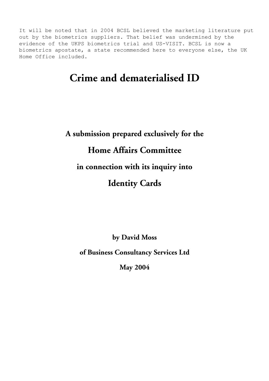It will be noted that in 2004 BCSL believed the marketing literature put out by the biometrics suppliers. That belief was undermined by the evidence of the UKPS biometrics trial and US-VISIT. BCSL is now a biometrics apostate, a state recommended here to everyone else, the UK Home Office included.

## **Crime and dematerialised ID**

## **A submission prepared exclusively for the Home Affairs Committee in connection with its inquiry into Identity Cards**

**by David Moss** 

**of Business Consultancy Services Ltd** 

**May 2004**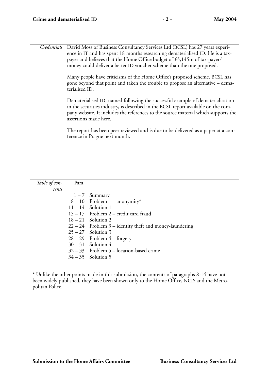*Credentials* David Moss of Business Consultancy Services Ltd (BCSL) has 27 years experience in IT and has spent 18 months researching dematerialised ID. He is a taxpayer and believes that the Home Office budget of £3,145m of tax-payers' money could deliver a better ID voucher scheme than the one proposed.

> Many people have criticisms of the Home Office's proposed scheme. BCSL has gone beyond that point and taken the trouble to propose an alternative – dematerialised ID.

Dematerialised ID, named following the successful example of dematerialisation in the securities industry, is described in the BCSL report available on the company website. It includes the references to the source material which supports the assertions made here.

The report has been peer reviewed and is due to be delivered as a paper at a conference in Prague next month.

| Table of con- | Para. |                                                           |
|---------------|-------|-----------------------------------------------------------|
| tents         |       |                                                           |
|               |       | $1 - 7$ Summary                                           |
|               |       | $8-10$ Problem 1 – anonymity*                             |
|               |       | $11 - 14$ Solution 1                                      |
|               |       | $15 - 17$ Problem 2 – credit card fraud                   |
|               |       | $18-21$ Solution 2                                        |
|               |       | $22 - 24$ Problem 3 – identity theft and money-laundering |
|               |       | $25 - 27$ Solution 3                                      |
|               |       | $28 - 29$ Problem $4 -$ forgery                           |
|               |       | $30-31$ Solution 4                                        |
|               |       | $32 - 33$ Problem 5 – location-based crime                |
|               |       | $34 - 35$ Solution 5                                      |

\* Unlike the other points made in this submission, the contents of paragraphs 8-14 have not been widely published, they have been shown only to the Home Office, NCIS and the Metropolitan Police.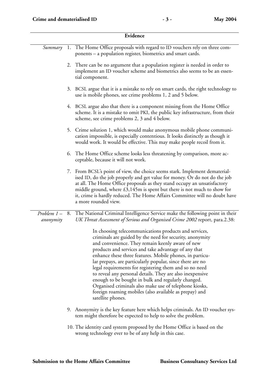| Evidence                |    |                                                                                                                                                                                                                                                                                                                                                                                                                                                                                                                                                                                                                                                                              |  |  |
|-------------------------|----|------------------------------------------------------------------------------------------------------------------------------------------------------------------------------------------------------------------------------------------------------------------------------------------------------------------------------------------------------------------------------------------------------------------------------------------------------------------------------------------------------------------------------------------------------------------------------------------------------------------------------------------------------------------------------|--|--|
| Summary                 |    | 1. The Home Office proposals with regard to ID vouchers rely on three com-<br>ponents – a population register, biometrics and smart cards.                                                                                                                                                                                                                                                                                                                                                                                                                                                                                                                                   |  |  |
|                         |    | 2. There can be no argument that a population register is needed in order to<br>implement an ID voucher scheme and biometrics also seems to be an essen-<br>tial component.                                                                                                                                                                                                                                                                                                                                                                                                                                                                                                  |  |  |
|                         | 3. | BCSL argue that it is a mistake to rely on smart cards, the right technology to<br>use is mobile phones, see crime problems 1, 2 and 5 below.                                                                                                                                                                                                                                                                                                                                                                                                                                                                                                                                |  |  |
|                         |    | 4. BCSL argue also that there is a component missing from the Home Office<br>scheme. It is a mistake to omit PKI, the public key infrastructure, from their<br>scheme, see crime problems 2, 3 and 4 below.                                                                                                                                                                                                                                                                                                                                                                                                                                                                  |  |  |
|                         |    | 5. Crime solution 1, which would make anonymous mobile phone communi-<br>cation impossible, is especially contentious. It looks distinctly as though it<br>would work. It would be effective. This may make people recoil from it.                                                                                                                                                                                                                                                                                                                                                                                                                                           |  |  |
|                         | 6. | The Home Office scheme looks less threatening by comparison, more ac-<br>ceptable, because it will not work.                                                                                                                                                                                                                                                                                                                                                                                                                                                                                                                                                                 |  |  |
|                         |    | 7. From BCSL's point of view, the choice seems stark. Implement dematerial-<br>ised ID, do the job properly and get value for money. Or do not do the job<br>at all. The Home Office proposals as they stand occupy an unsatisfactory<br>middle ground, where $£3,145m$ is spent but there is not much to show for<br>it, crime is hardly reduced. The Home Affairs Committee will no doubt have<br>a more rounded view.                                                                                                                                                                                                                                                     |  |  |
| Problem 1-<br>anonymity | 8. | The National Criminal Intelligence Service make the following point in their<br>UK Threat Assessment of Serious and Organised Crime 2002 report, para.2.38:                                                                                                                                                                                                                                                                                                                                                                                                                                                                                                                  |  |  |
|                         |    | In choosing telecommunications products and services,<br>criminals are guided by the need for security, anonymity<br>and convenience. They remain keenly aware of new<br>products and services and take advantage of any that<br>enhance these three features. Mobile phones, in particu-<br>lar prepays, are particularly popular, since there are no<br>legal requirements for registering them and so no need<br>to reveal any personal details. They are also inexpensive<br>enough to be bought in bulk and regularly changed.<br>Organised criminals also make use of telephone kiosks,<br>foreign roaming mobiles (also available as prepay) and<br>satellite phones. |  |  |
|                         |    | 9. Anonymity is the key feature here which helps criminals. An ID voucher sys-<br>tem might therefore be expected to help to solve the problem.                                                                                                                                                                                                                                                                                                                                                                                                                                                                                                                              |  |  |
|                         |    | 10. The identity card system proposed by the Home Office is based on the<br>wrong technology ever to be of any help in this case.                                                                                                                                                                                                                                                                                                                                                                                                                                                                                                                                            |  |  |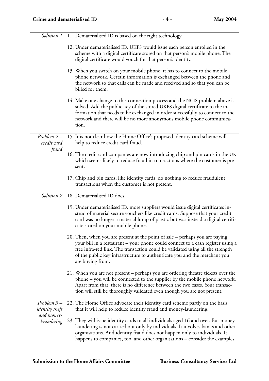|                                                   | Solution 1 11. Dematerialised ID is based on the right technology.                                                                                                                                                                                                                                                                                 |  |  |  |
|---------------------------------------------------|----------------------------------------------------------------------------------------------------------------------------------------------------------------------------------------------------------------------------------------------------------------------------------------------------------------------------------------------------|--|--|--|
|                                                   | 12. Under dematerialised ID, UKPS would issue each person enrolled in the<br>scheme with a digital certificate stored on that person's mobile phone. The<br>digital certificate would vouch for that person's identity.                                                                                                                            |  |  |  |
|                                                   | 13. When you switch on your mobile phone, it has to connect to the mobile<br>phone network. Certain information is exchanged between the phone and<br>the network so that calls can be made and received and so that you can be<br>billed for them.                                                                                                |  |  |  |
|                                                   | 14. Make one change to this connection process and the NCIS problem above is<br>solved. Add the public key of the stored UKPS digital certificate to the in-<br>formation that needs to be exchanged in order successfully to connect to the<br>network and there will be no more anonymous mobile phone communica-<br>tion.                       |  |  |  |
| Problem $2-$<br>credit card<br>fraud              | 15. It is not clear how the Home Office's proposed identity card scheme will<br>help to reduce credit card fraud.                                                                                                                                                                                                                                  |  |  |  |
|                                                   | 16. The credit card companies are now introducing chip and pin cards in the UK<br>which seems likely to reduce fraud in transactions where the customer is pre-<br>sent.                                                                                                                                                                           |  |  |  |
|                                                   | 17. Chip and pin cards, like identity cards, do nothing to reduce fraudulent<br>transactions when the customer is not present.                                                                                                                                                                                                                     |  |  |  |
| Solution 2                                        | 18. Dematerialised ID does.                                                                                                                                                                                                                                                                                                                        |  |  |  |
|                                                   | 19. Under dematerialised ID, more suppliers would issue digital certificates in-<br>stead of material secure vouchers like credit cards. Suppose that your credit<br>card was no longer a material lump of plastic but was instead a digital certifi-<br>cate stored on your mobile phone.                                                         |  |  |  |
|                                                   | 20. Then, when you are present at the point of sale – perhaps you are paying<br>your bill in a restaurant - your phone could connect to a cash register using a<br>free infra-red link. The transaction could be validated using all the strength<br>of the public key infrastructure to authenticate you and the merchant you<br>are buying from. |  |  |  |
|                                                   | 21. When you are not present – perhaps you are ordering theatre tickets over the<br>phone - you will be connected to the supplier by the mobile phone network.<br>Apart from that, there is no difference between the two cases. Your transac-<br>tion will still be thoroughly validated even though you are not present.                         |  |  |  |
| Problem 3-<br><i>identity</i> theft<br>and money- | 22. The Home Office advocate their identity card scheme partly on the basis<br>that it will help to reduce identity fraud and money-laundering.                                                                                                                                                                                                    |  |  |  |
| laundering                                        | 23. They will issue identity cards to all individuals aged 16 and over. But money-<br>laundering is not carried out only by individuals. It involves banks and other<br>organisations. And identity fraud does not happen only to individuals. It<br>happens to companies, too, and other organisations - consider the examples                    |  |  |  |